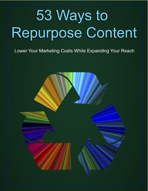# 53 Ways to Repurpose Content

# Lower Your Marketing Costs While Expanding Your Reach

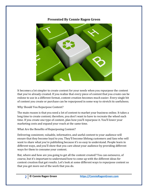# **Presented By Connie Ragen Green**



It becomes a lot simpler to create content for your needs when you repurpose the content that you've already created. If you realize that every piece of content that you create can be redone to use in a different format, content creation becomes much easier. Every single bit of content you create or purchase can be repurposed in some way to stretch its usefulness.

Why Should You Repurpose Content?

The main reason is that you need a lot of content to market your business online. It takes a long time to create content; therefore, you don't want to have to recreate the wheel each time. If you create one type of content, plan how you'll repurpose it. You'll lower your marketing costs and expand your reach at the same time.

What Are the Benefits of Repurposing Content?

Delivering consistent, valuable, informative, and useful content to your audience will ensure that they become loyal to you. They'll become lifelong customers and fans who will want to share what you're publishing because it's so easy to understand. People learn in different ways, and you'll show that you care about your audience by providing different ways for them to consume your content.

But, where and how are you going to get all the content created? You can outsource, of course, but it's important to understand how to come up with the different ideas for content creation that get results. Let's look at some different ways to repurpose content so that you get more out of the work that you do.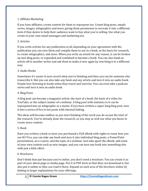# 1. Affiliate Marketing

If you have affiliates, create content for them to repurpose too. Create blog posts, emails series, images, infographics and more, giving them permission to recreate it into a different form if they desire to help their audience want to buy what you're selling. Use what you create in your own email messages and marketing too.

# 2. Articles

If you write articles for any publication at all, depending on your agreement with the publication you can save them and compile them to use in a book, as the basis for research, to create infographics, and more. When you write an article for any reason, it can be broken up into blog posts, or expanded and combined to become a book. You can also hand an article off to another writer and ask them to make it new again by rewriting it in a different way.

# 3. Audio Books

Sometimes it's easier to just record what you're thinking and then you can let someone else transcribe it. But you can also take any book and any article and turn it into an audio book. People love listening to books when they travel and exercise. You can even take a podcast series and turn it into an audio book.

#### 4. Blog Posts

A blog post can become a magazine article, the start of a book, the basis of a video for YouTube, or the subject matter of a webinar. A blog post with statistics in it can be repurposed into an infographic or a meme. If you have written a super-long blog post, turn it into a series of five to ten posts with internal linking.

The ideas will become endless as you start thinking of the work you do as just the start of the research. You've already done the research, so you may as well use what you know to create more content.

# 5. Book

Have you written a book or have you purchased a PLR eBook with rights to reuse how you see fit? If so, you can take any book and turn it into individual blog posts, a PowerPoint presentation, an e-course, and the topic of a webinar. Just take apart the eBook, add some of your own content such as new images, and you can turn any book into something else with just a little effort.

# 6. Brochures

Don't think that just because you're online, you don't need a brochure. You can create it as part of your about page or media page. Put it in PDF form so that they can download it, but also put it online so they can read it there. Expand on each area of the brochure online by linking to larger explanations for your offerings.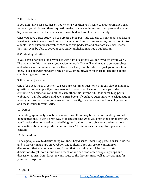#### 7. Case Studies

If you don't have case studies on your clients yet, then you'll want to create some. It's easy to do. All you do is send them a questionnaire, or you can interview them personally using Skype or Zoom.us. Get the interview transcribed and you have a case study.

Once you have a case study you can create a blog post, add experts to your email marketing, break out parts to use as testimonials, include portions in press releases, put part of it into a book, use as examples in webinars, videos and podcasts, and promote via social media. You may even be able to get your case study published in a trade publication.

#### 8. Content Syndication

If you have a popular blog or website with a lot of content, you can syndicate your work. The way to do this is to use a syndication network. This will enable you to get your blogs and articles in front of more views. Even CNN has promoted stories - just go to their home page. Check out Outbrain.com or Business2Community.com for more information about syndicating your content.

#### 9. Customer Questions

One of the best types of content to reuse are customer questions. This can also be audience questions. For example, if you are involved in groups on Facebook where your ideal customers ask questions and talk to each other, this is wonderful fodder for blog posts, webinars, YouTube videos, and even entire books. If you have customers who ask questions about your products after you answer them directly, turn your answer into a blog post and add these issues to your FAQs.

#### 10. Demos

Depending upon the type of business you have, there may be cause for creating product demonstrations. This is a great way to create content. Once you create the demonstration, you'll notice that you need expanded blogs and guides to help give your audience more information about your products and services. This increases the ways to repurpose the content.

#### 11. Discussions

Today, people love to discuss things online. They discuss under blog posts, YouTube videos, and in discussion groups on Facebook and LinkedIn. You can create content from discussions that are popular on any forum that is within your niche. You can start discussions to get more input from others, or you can read other people's groups and discussion topics. Don't forget to contribute to the discussion as well as recreating it for your own purposes.

#### 12. eBooks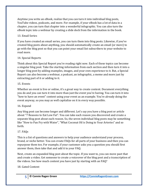Anytime you write an eBook, realize that you can turn it into individual blog posts, YouTube videos, podcasts, and more. For example, if your eBook has a lot of data in a chapter, you can turn that chapter into a wonderful infographic. You can also turn the eBook topic into a webinar by creating a slide deck from the information in the book.

# 13. Email Series

If you have created an email series, you can turn them into blog posts. Likewise, if you've created blog posts about anything, you should automatically create an email (or more) to go with the blog post so that you can point your email list subscribers to your website to read more.

# 14. Special Reports

Think about this Special Report you're reading right now. Each of these topics can become a singular blog post. Take the starting information from each section and then turn it into a longer blog post by adding examples, images, and your own experience to it. But, a Special Report can also become a webinar, a podcast, an infographic, a meme and more just by extracting part of it or adding to it.

# 15. Events

Whether an event is live or online, it's a great way to create content. Document everything you do and you can turn it into more than just the event you're having. You can turn it into "how to have an event" content using your event as an example. You're already doing the event anyway, so you may as well capitalize on it in every way possible.

# 16. Expand

Any blog post can become longer and different. Let's say you have a blog post or article about "7 Reasons to Eat Low Fat". You can take each reason you discovered and create a separate blog post about each reason. So, the seven individual blog posts may be something like "How to Pan Fry with Water", "What Coconut Oil is Doing to Your Arteries" and so forth.

# 17. FAQs

This is a list of questions and answers to help your audience understand your process, brand, or niche better. You can create FAQs for all parts of your business and then you can repurpose them too. For example, if your customer asks you a question you should first answer them, then take that and add it to your FAQ.

Next, create an expanded blog post about the topic. If you want to, you can move past that and create a video. Get someone to create a voiceover of the blog post and a transcription of the videos. See how much content you have just by starting with an FAQ?

# 18. Gated Content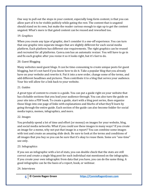One way to pull out the stops in your content, especially long-form content, is that you can allow part of it to be visible publicly while gating the rest. The content that is ungated should stand on its own, but make the reader curious enough to sign up to get the content ungated. What's more is that gated content can be reused and reworked too.

# 19. Graphics

When you create any type of graphic, don't consider it a one-off experience. You can turn that one graphic into separate images that are slightly different for each social media platform. Each platform has different size requirements. The right graphics can be reused and recreated for all platforms. Canva.com has an automatic resizer. You will have to go in and fix each graphic after you resize it so it looks right, but it's fast to do.

# 20. Guest Blogging

Many websites need guest blogs. It can be time-consuming to create unique posts for guest blogging, but it's not hard if you know how to do it. Take a popular blog that you already have on your website and rewrite it. Put it into a new order, change some of the terms, and add different headlines and pictures. Then contribute it to a blog that serves your audience. Your bio will allow for a link back to your website.

# 21. Guides

A great type of content to create is a guide. You can put a guide right on your website that has clickable sections that you lead your audience through. You can also turn the guide on your site into a PDF book. To create a guide, start with a blog post series, then organize those blogs into one page of links with explanations and blurbs of what they'll learn by going through the entire guide. Each section of the guide can also become fodder for social media topics, memes, infographics, and more.

# 22. Images

You probably spend a lot of time and effort (or money) on images for your website, blog, and social media networks. What if you could use these images in many ways? If you create an image for a meme, why not put that image in a report? You can combine some images with text and create an amazing slide deck. Be sure to look at the terms and conditions of all images that you buy so you can be sure that it's okay to reuse them. Some are "one-time" use only.

# 23. Infographics

If you see an infographic with a lot of stats, you can double check that the stats are still correct and create a single blog post for each individual stat mentioned on the infographic. If you create your own infographic from data that you have, you can do the same thing. A good infographic can be the basis of a report, book, or webinar.

# 24. Interviews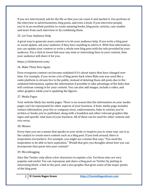If you are interviewed, ask for the file so that you can reuse it and market it. Use portions of the interview in advertisements, blog posts, and even a book. If you interview people, you're in an excellent position to create amazing books, blog posts, articles, case studies and more from each interview or by combining them.

# 25. Let Your Audience Help

A great way to generate more content is to let your audience help. If you write a blog post or social update, ask your audience if they have anything to add to it. With that information, you can update your content or write a whole new blog post with the info provided by your audience. Put a click to tweet link near any stats or interesting lines in your content, then your audience will share it for you.

# https://clicktotweet.com/

# 26. Make Them New Again

Even evergreen content can become outdated if it's about topics that have changed over time. For example, if you wrote a lot of blog posts back when Blab.com was used like a radio platform to stream live to the public, instead of deleting those old posts due to the outdated information, update the information if possible to take advantage of the links that will continue coming in for your content. You can also add images, include a video, and other graphics while you're updating the figures.

# 27. Media Pages

Your website likely has media pages. There is no reason that the information on your media pages can't be repurposed for other aspects of your business. A basic media page includes contact information, your bio or company story, endorsements, links to articles you've written or books you've published, along with a headshot and other relevant graphics like logos and specific vital stats of your business. All of these can be used for other content and vice versa.

# 28. Memes

Every time you see a meme that speaks to your niche or inspires you in some way, use it as the catalyst to create more content such as a blog post. If you look around, there is inspiration everywhere. For example, you might see a meme that says, "You need the inspiration to be able to have aspiration." Would that give you thoughts about how you can incorporate that quote into your content?

# 29. Microblogging

Sites like Twitter only allow a few characters to explain a lot. Yet these sites are very popular and useful. You can repurpose and share a blog post on Twitter by putting in interesting blurb, a link to the post, and a nice graphic that gives some of the major points of the blog post.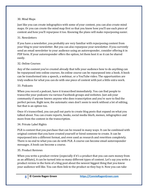#### 30. Mind Maps

Just like you can create infographics with some of your content, you can also create mind maps. Or you can create the mind map first so that you know how you'll use each piece of content and how you'll repurpose it too. Knowing the plans will make repurposing easier.

# 31. Newsletters

If you have a newsletter, you probably are very familiar with repurposing content from your blog to your newsletter. But you can also repurpose your newsletter. If you currently send an email newsletter to your audience using an autoresponder, consider offering it in PDF form. If your autoresponder offers the option, let them host it so it can be shared easily.

# 32. Online Courses

Any of the content you've created already that tells your audience how to do anything can be repurposed into online courses. An online course can be repurposed into a book. A book can be transformed into a speech, a webinar, or a YouTube video. The opportunities are truly endless for what you can do with one piece of content with just a little extra work.

#### 33. Podcasts

When you record a podcast, have it transcribed immediately. You can find people to transcribe your podcasts via various Facebook groups and websites. Just ask your community if anyone knows anyone who does transcription and you're sure to find the perfect person. Right now, the automatic ones don't seem to work without a lot of editing, but that is an option too.

Once it's transcribed, you can pull out parts to create blog posts that expand on what you talked about. You can create reports, books, social media blurb, memes, infographics and more from the content in the transcription.

# 34. Private Label Rights

PLR is content that you purchase that can be reused in many ways. It can be combined with original content that you have created yourself or hired someone to create. It can be repurposed into a different format, and even used as research and rewritten completely. There is no end to what you can do with PLR. A course can become email autoresponder messages. A book can become a course.

# 35. Product Reviews

When you write a product review (especially if it's a product that you can earn money from as an affiliate), it can be turned into so many different types of content. Let's say you write a product review in the form of a blog post about the newest biggest thing that you know your audience will like. You can then link to the product so they buy it. Now you can take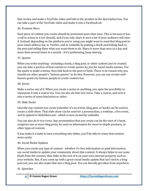that review and make a YouTube video and link to the product in the description box. You can take a part of the YouTube video and make it into a Facebook ad.

# 36. Promote More

Each piece of content you create should be promoted more than once. This is because it has a call to action to it (or should), and if you only share it once a lot of your audience will miss it. Instead, depending on the platform you're using you might want to send that blog post to your email address list, to Twitter, and to LinkedIn by putting a blurb and linking back to the post and telling them what you want them to do. Share it more than once in a day and more than several times in a month - if it's performing, keep sharing.

# 37. Quotes

When you write anything - including a book, a blog post, or other content you've created, you can take a portion of that content to create quotes by you for social media memes. Use the quote to make a meme, then link back to the post or book. There is no reason why you should use other people's "famous quotes" to do this. However, you can use certain wellknown quotes by famous people to create content too.

# 38. Series

Make a series out of it. When you create a series in anything, you open the possibility to repurpose it into a course too. You can also do that vice versa. Take a course, and turn it into a series of some kind print or video.

# 39. Slide Decks

Literally any content you create (whether it's an article, blog post, or book) can be used to create a slide show. That slide show can be used for a presentation, a webinar, a live event, and to upload to SlideShare.net - which is now owned by LinkedIn.

You can also do it vice versa. Any presentation that you create can be the start of a book, comprise one or more blog posts, be used as information for more in-depth products, or other types of content.

If you make it a habit to turn everything into slides, you'll be able to reuse that content more easily.

# 40. Social Media Updates

When you create any type of content - whether it's free information or paid information, use social media to update your community about that content. It always helps to use some blurb from the content, then links to the rest of it on your own internet property such as your website. But, if you come up with a great social media update that isn't tied to a blog post yet, you can also make that into a blog post. You can literally get ideas from anywhere.

# 41. Speeches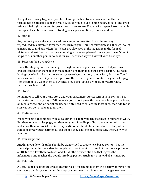It might seem scary to give a speech, but you probably already have content that can be turned into an amazing speech or talk. Look through your old blog posts, eBooks, and even private label rights content for great information to use. If you write a speech from scratch, that speech can be repurposed into blog posts, presentations, courses, and more.

# 42. Spin It

Any content you've already created can always be rewritten in a different way, or reproduced in a different form than it is currently in. Think of television ads, then go look at a magazine to find ads. Often the TV ads are also used in the magazine in the form of pictures and text. You can do the same thing with every piece of content you have. Often it helps to ask another person to do it for you, because they will view it with fresh eyes.

# 43. Stages in the Buying Cycle

Learn the stages your customers go through to make a purchase. Ensure that you have created content for them at each stage that helps them make the right decision. The basic buying cycle looks like this: awareness, research, evaluation, comparison, decision. You'll never run out of ideas if you can repurpose the research you've created for your sales page (for the item you want them to buy) into blog posts, articles, videos, newsletter info, tutorials, reviews, and so on.

# 44. Stories

Remember to tell your brand story and your customers' stories within your content. Tell those stories in many ways. Tell them via your about page, through your blog posts, a book, on media pages, and on social media. You only need to collect the facts once, then add to the story as you go to make it go further.

# 45. Testimonials

When you get a testimonial from a customer or client, you can use these in numerous ways. Put them on your sales page, put them on your LinkedIn profile, make memes with them and share them on social media. Every testimonial should be shouted out. In fact, when someone gives you a testimonial, ask them if they'd like to do a case study interview with you too.

# 46. Transcriptions

Anything you do with audio should be transcribed to create text-based content. Put the transcription under the video for people who don't want to listen. Put the transcription into a PDF file to allow them to download it. Edit the transcription so that it gives the information and teaches the details into blog post or article form instead of a transcript.

# 47. Tutorials

A useful type of content to create are tutorials. You can make them in a variety of ways. You can record a video, record your desktop, or you can write it in text with images to show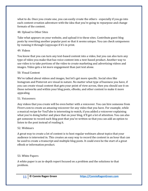what to do. Once you create one, you can easily create the others - especially if you go into each content-creation adventure with the idea that you're going to repurpose and change formats of the content.

#### 48. Upload to Other Sites

Take what appears on your website, and upload it to these sites. Contribute guest blog posts by rewriting another popular post so that it seems unique. You can check uniqueness by running it through Copyscape if it's in print.

#### 49. Videos

You know that you can turn any text-based content into a video, but you can also turn any type of video you make that has voice content into a text-based product. Another way to use video is to take portions of the video to create marketing and advertising videos and images. Video gets a lot more engagement than just text alone.

#### 50. Visual Content

We've talked about videos and images, but let's get more specific. Social sites like Instagram and Pinterest are visual in nature. No matter what type of business you have, if you can create visual content that gets your point of view across, then you should use it on those networks and within your blog posts, eBooks, and other content to make it more appealing.

#### 51. Voiceovers

Any videos that you create will be even better with a voiceover. You can hire someone from Fiverr.com to create an amazing voiceover for any video that you have. For example, while a musical recipe for YouTube is interesting to watch, if you added a voiceover explaining what you're doing better and place that on your blog, it'll get a lot of attention. You can also get someone to record each blog post that you've written so that you can add an option to listen to the post instead of reading it.

#### 52. Webinars

A great way to create a lot of content is to host regular webinars about topics that your audience is interested in. This creates an easy way to record the content in an hour that can be used to create a transcript and multiple blog posts. It could even be the start of a great eBook or information product.

# 53. White Papers

A white paper is an in-depth report focused on a problem and the solutions to that problem.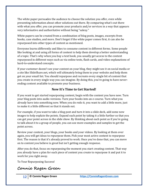The white paper persuades the audience to choose the solution you offer, even while presenting information about other solutions out there. By comparing what's out there with what you offer, you can promote your products and/or services in a way that appears very informative and authoritative without being "salesy."

White papers can be created from a combination of blog posts, images, excerpts from books, case studies, and more. Don't forget if the white paper comes first, it can also be repurposed into other types of content as mentioned.

Everyone learns differently and likes to consume content in different forms. Some people like looking at and using all forms of content to help them develop a better understanding of a topic. That's why when you buy a text book, you usually get access to the content repurposed in different ways such as via online tests, flash cards, and video explanations of hard-to-understand concepts.

If your customer doesn't see your content on your blog, they might see it on social media or a site like SlideShare.net, which will ultimately bring them to your website and help them get on your email list. You should repurpose and recreate every single bit of content that you create in every single way you can imagine. By doing this, you're going to have neverending content available to promote your business.

# **Now It's Time to Get Started!**

If you want to get started repurposing content, begin with the content you have now. Turn your blog posts into audio versions. Turn your books into an e-course. Turn what you already have into something new. When you do redo it, you want to add a little more, just to make it a little different so that it stands out.

For example, if you want to take a blog post and turn it into a slide deck, add some new images to help explain the points. Expand each point by taking it a little further so that you can get your point across in the slide show. By thinking about each point as if you're going to talk about it to a group of people, you can use more examples and samples to get the point across.

Review your content, your blogs, your books and your videos. By looking at them over again, you will get ideas to repurpose them. Pick your most active content to repurpose first. The reason is that it's already proved to work. Once you've done that, you can move on to content you believe is great but isn't getting enough response.

After you do that, focus on repurposing the moment you start creating content. That way you already have a plan for each piece of content you create to repurpose it and put it to work for you right away.

To Your Repurposing Success!

**Connie Ragen Green**